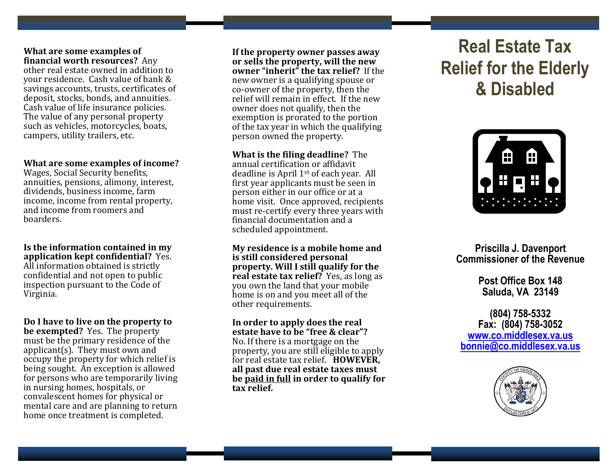#### **What are some examples of financial worth resources?** Any

other real estate owned in addition to your residence. Cash value of bank & savings accounts, trusts, certificates of deposit, stocks, bonds, and annuities. Cash value of life insurance policies. The value of any personal property such as vehicles, motorcycles, boats, campers, utility trailers, etc.

#### **What are some examples of income?**

Wages, Social Security benefits, annuities, pensions, alimony, interest, dividends, business income, farm income, income from rental property, and income from roomers and boarders.

**Is the information contained in my application kept confidential?** Yes. All information obtained is strictly confidential and not open to public inspection pursuant to the Code of Virginia.

**Do I have to live on the property to be exempted?** Yes. The property must be the primary residence of the applicant(s). They must own and occupy the property for which relief is being sought. An exception is allowed for persons who are temporarily living in nursing homes, hospitals, or convalescent homes for physical or mental care and are planning to return home once treatment is completed.

**If the property owner passes away or sells the property, will the new owner "inherit" the tax relief?** If the new owner is a qualifying spouse or co-owner of the property, then the relief will remain in effect. If the new owner does not qualify, then the exemption is prorated to the portion of the tax year in which the qualifying person owned the property. Ī

**What is the filing deadline?** The annual certification or affidavit

deadline is April 1st of each year. All first year applicants must be seen in person either in our office or at a home visit. Once approved, recipients must re-certify every three years with financial documentation and a scheduled appointment.

**My residence is a mobile home and is still considered personal property. Will I still qualify for the real estate tax relief?** Yes, as long as you own the land that your mobile home is on and you meet all of the other requirements.

**In order to apply does the real estate have to be "free & clear"?** No. If there is a mortgage on the property, you are still eligible to apply for real estate tax relief. **HOWEVER, all past due real estate taxes must be paid in full in order to qualify for tax relief.**

# **Real Estate Tax Relief for the Elderly & Disabled**



**Priscilla J. Davenport Commissioner of the Revenue**

> **Post Office Box 148 Saluda, VA 23149**

**(804) 758-5332 Fax: (804) 758-3052 [www.co.middlesex.va.us](http://www.co.middlesex.va.us/) [bonnie@co.middlesex.va.us](mailto:bonnie@co.middlesex.va.us)**